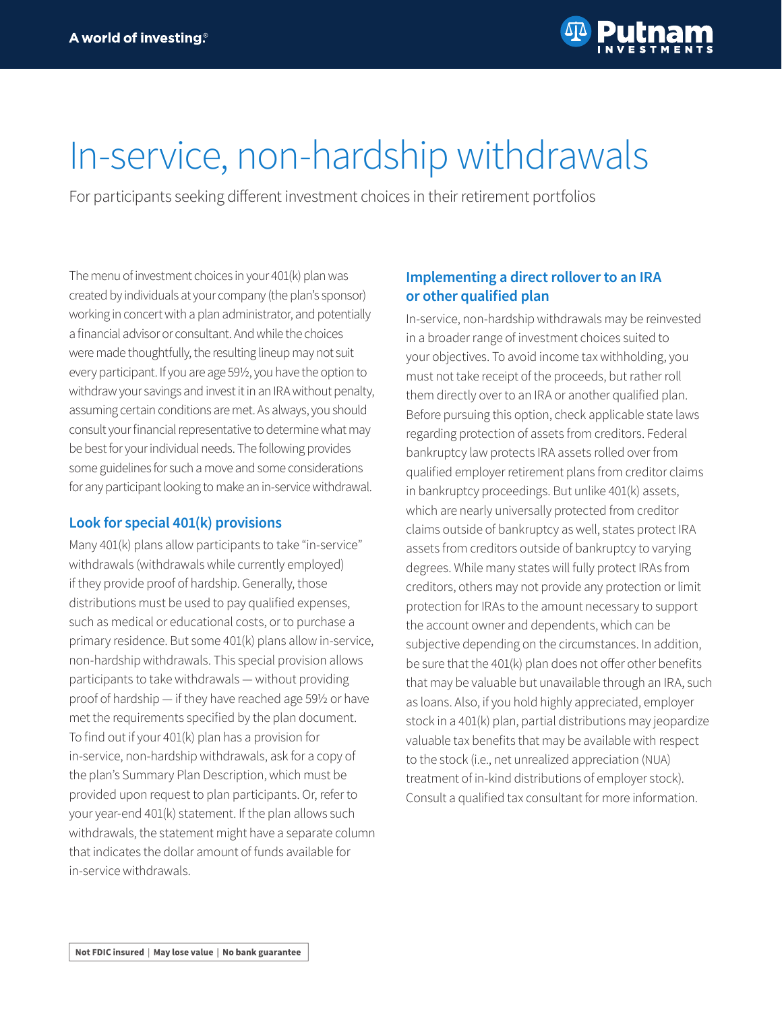# In-service, non-hardship withdrawals

For participants seeking different investment choices in their retirement portfolios

The menu of investment choices in your 401(k) plan was created by individuals at your company (the plan's sponsor) working in concert with a plan administrator, and potentially a financial advisor or consultant. And while the choices were made thoughtfully, the resulting lineup may not suit every participant. If you are age 591/2, you have the option to withdraw your savings and invest it in an IRA without penalty, assuming certain conditions are met. As always, you should consult your financial representative to determine what may be best for your individual needs. The following provides some guidelines for such a move and some considerations for any participant looking to make an in-service withdrawal.

## **Look for special 401(k) provisions**

Many 401(k) plans allow participants to take "in-service" withdrawals (withdrawals while currently employed) if they provide proof of hardship. Generally, those distributions must be used to pay qualified expenses, such as medical or educational costs, or to purchase a primary residence. But some 401(k) plans allow in-service, non-hardship withdrawals. This special provision allows participants to take withdrawals — without providing proof of hardship — if they have reached age 59½ or have met the requirements specified by the plan document. To find out if your 401(k) plan has a provision for in-service, non-hardship withdrawals, ask for a copy of the plan's Summary Plan Description, which must be provided upon request to plan participants. Or, refer to your year-end 401(k) statement. If the plan allows such withdrawals, the statement might have a separate column that indicates the dollar amount of funds available for in-service withdrawals.

# **Implementing a direct rollover to an IRA or other qualified plan**

In-service, non-hardship withdrawals may be reinvested in a broader range of investment choices suited to your objectives. To avoid income tax withholding, you must not take receipt of the proceeds, but rather roll them directly over to an IRA or another qualified plan. Before pursuing this option, check applicable state laws regarding protection of assets from creditors. Federal bankruptcy law protects IRA assets rolled over from qualified employer retirement plans from creditor claims in bankruptcy proceedings. But unlike 401(k) assets, which are nearly universally protected from creditor claims outside of bankruptcy as well, states protect IRA assets from creditors outside of bankruptcy to varying degrees. While many states will fully protect IRAs from creditors, others may not provide any protection or limit protection for IRAs to the amount necessary to support the account owner and dependents, which can be subjective depending on the circumstances. In addition, be sure that the 401(k) plan does not offer other benefits that may be valuable but unavailable through an IRA, such as loans. Also, if you hold highly appreciated, employer stock in a 401(k) plan, partial distributions may jeopardize valuable tax benefits that may be available with respect to the stock (i.e., net unrealized appreciation (NUA) treatment of in-kind distributions of employer stock). Consult a qualified tax consultant for more information.